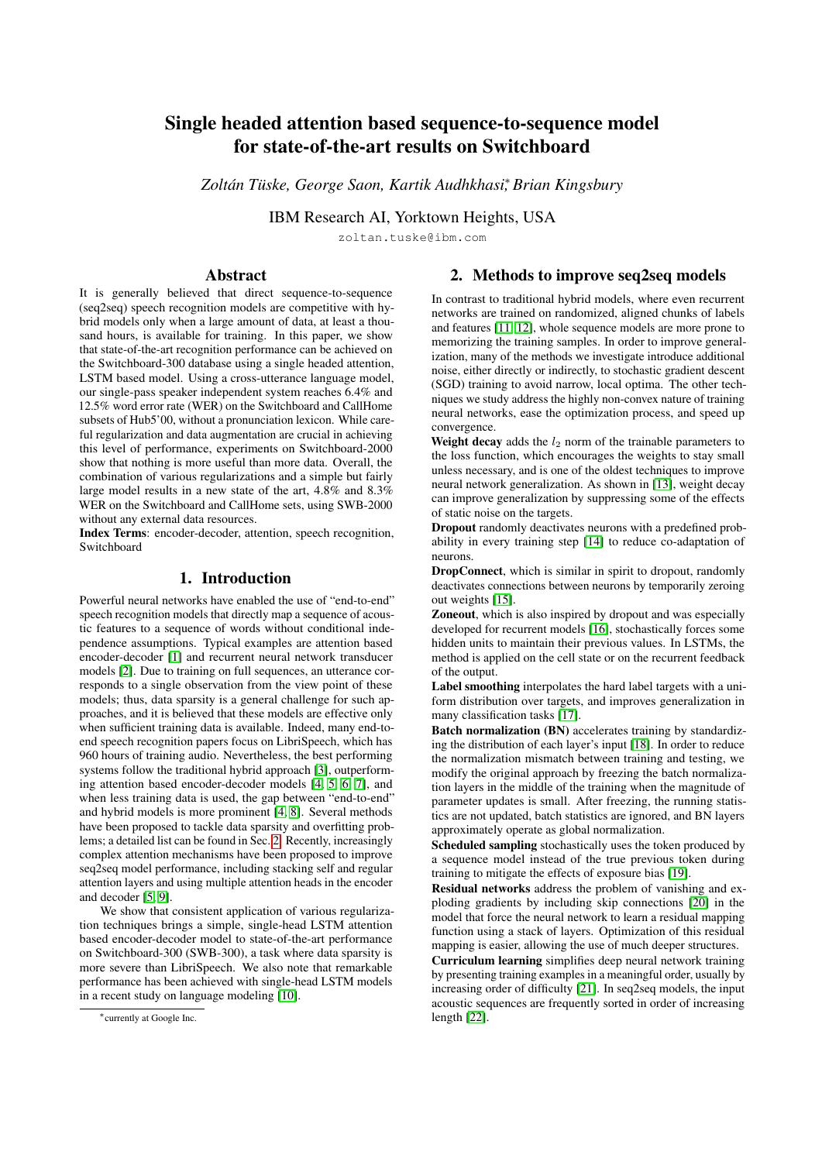# Single headed attention based sequence-to-sequence model for state-of-the-art results on Switchboard

*Zoltan T ´ uske, George Saon, Kartik Audhkhasi ¨* ∗ *, Brian Kingsbury*

IBM Research AI, Yorktown Heights, USA

zoltan.tuske@ibm.com

# Abstract

It is generally believed that direct sequence-to-sequence (seq2seq) speech recognition models are competitive with hybrid models only when a large amount of data, at least a thousand hours, is available for training. In this paper, we show that state-of-the-art recognition performance can be achieved on the Switchboard-300 database using a single headed attention, LSTM based model. Using a cross-utterance language model, our single-pass speaker independent system reaches 6.4% and 12.5% word error rate (WER) on the Switchboard and CallHome subsets of Hub5'00, without a pronunciation lexicon. While careful regularization and data augmentation are crucial in achieving this level of performance, experiments on Switchboard-2000 show that nothing is more useful than more data. Overall, the combination of various regularizations and a simple but fairly large model results in a new state of the art, 4.8% and 8.3% WER on the Switchboard and CallHome sets, using SWB-2000 without any external data resources.

Index Terms: encoder-decoder, attention, speech recognition, Switchboard

# 1. Introduction

Powerful neural networks have enabled the use of "end-to-end" speech recognition models that directly map a sequence of acoustic features to a sequence of words without conditional independence assumptions. Typical examples are attention based encoder-decoder [\[1\]](#page-3-0) and recurrent neural network transducer models [\[2\]](#page-3-1). Due to training on full sequences, an utterance corresponds to a single observation from the view point of these models; thus, data sparsity is a general challenge for such approaches, and it is believed that these models are effective only when sufficient training data is available. Indeed, many end-toend speech recognition papers focus on LibriSpeech, which has 960 hours of training audio. Nevertheless, the best performing systems follow the traditional hybrid approach [\[3\]](#page-4-0), outperforming attention based encoder-decoder models [\[4,](#page-4-1) [5,](#page-4-2) [6,](#page-4-3) [7\]](#page-4-4), and when less training data is used, the gap between "end-to-end" and hybrid models is more prominent [\[4,](#page-4-1) [8\]](#page-4-5). Several methods have been proposed to tackle data sparsity and overfitting problems; a detailed list can be found in Sec. [2.](#page-0-0) Recently, increasingly complex attention mechanisms have been proposed to improve seq2seq model performance, including stacking self and regular attention layers and using multiple attention heads in the encoder and decoder [\[5,](#page-4-2) [9\]](#page-4-6).

We show that consistent application of various regularization techniques brings a simple, single-head LSTM attention based encoder-decoder model to state-of-the-art performance on Switchboard-300 (SWB-300), a task where data sparsity is more severe than LibriSpeech. We also note that remarkable performance has been achieved with single-head LSTM models in a recent study on language modeling [\[10\]](#page-4-7).

# <span id="page-0-0"></span>2. Methods to improve seq2seq models

In contrast to traditional hybrid models, where even recurrent networks are trained on randomized, aligned chunks of labels and features [\[11,](#page-4-8) [12\]](#page-4-9), whole sequence models are more prone to memorizing the training samples. In order to improve generalization, many of the methods we investigate introduce additional noise, either directly or indirectly, to stochastic gradient descent (SGD) training to avoid narrow, local optima. The other techniques we study address the highly non-convex nature of training neural networks, ease the optimization process, and speed up convergence.

Weight decay adds the  $l_2$  norm of the trainable parameters to the loss function, which encourages the weights to stay small unless necessary, and is one of the oldest techniques to improve neural network generalization. As shown in [\[13\]](#page-4-10), weight decay can improve generalization by suppressing some of the effects of static noise on the targets.

Dropout randomly deactivates neurons with a predefined probability in every training step [\[14\]](#page-4-11) to reduce co-adaptation of neurons.

DropConnect, which is similar in spirit to dropout, randomly deactivates connections between neurons by temporarily zeroing out weights [\[15\]](#page-4-12).

Zoneout, which is also inspired by dropout and was especially developed for recurrent models [\[16\]](#page-4-13), stochastically forces some hidden units to maintain their previous values. In LSTMs, the method is applied on the cell state or on the recurrent feedback of the output.

Label smoothing interpolates the hard label targets with a uniform distribution over targets, and improves generalization in many classification tasks [\[17\]](#page-4-14).

Batch normalization (BN) accelerates training by standardizing the distribution of each layer's input [\[18\]](#page-4-15). In order to reduce the normalization mismatch between training and testing, we modify the original approach by freezing the batch normalization layers in the middle of the training when the magnitude of parameter updates is small. After freezing, the running statistics are not updated, batch statistics are ignored, and BN layers approximately operate as global normalization.

Scheduled sampling stochastically uses the token produced by a sequence model instead of the true previous token during training to mitigate the effects of exposure bias [\[19\]](#page-4-16).

Residual networks address the problem of vanishing and exploding gradients by including skip connections [\[20\]](#page-4-17) in the model that force the neural network to learn a residual mapping function using a stack of layers. Optimization of this residual mapping is easier, allowing the use of much deeper structures.

Curriculum learning simplifies deep neural network training by presenting training examples in a meaningful order, usually by increasing order of difficulty [\[21\]](#page-4-18). In seq2seq models, the input acoustic sequences are frequently sorted in order of increasing length [\[22\]](#page-4-19).

<sup>∗</sup>currently at Google Inc.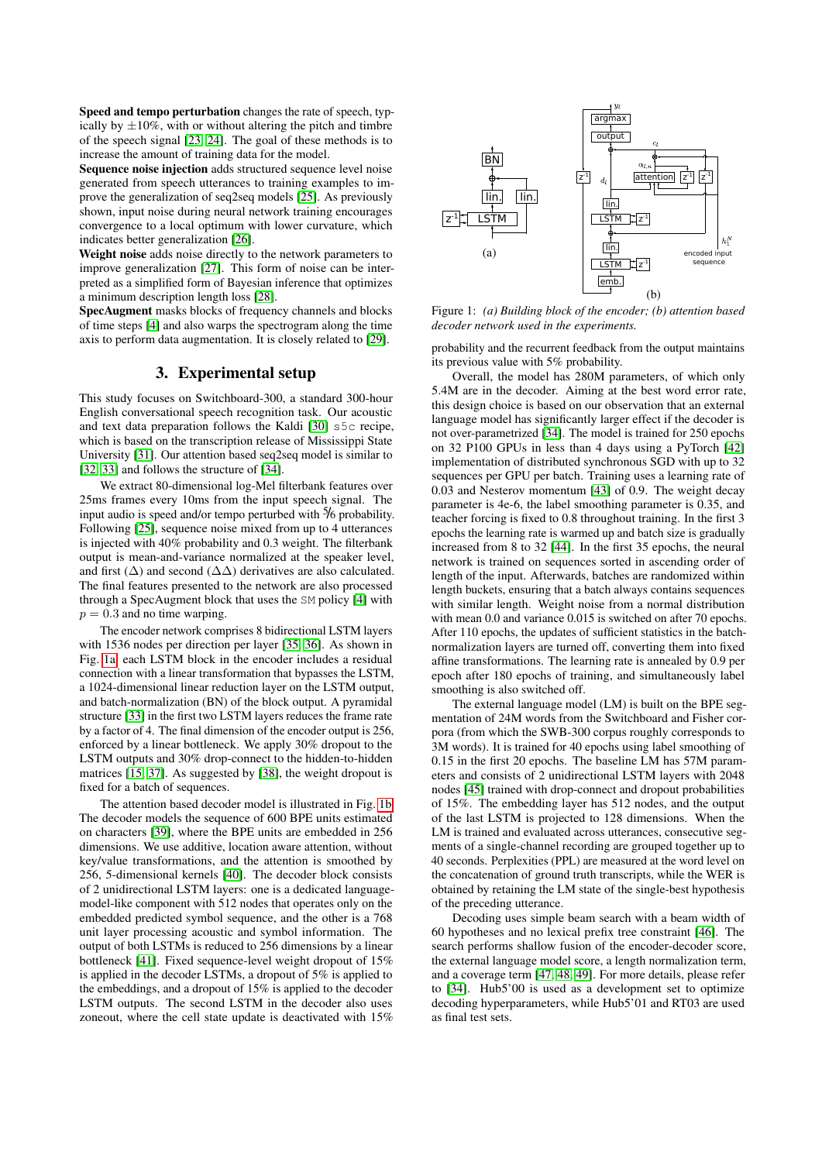Speed and tempo perturbation changes the rate of speech, typically by  $\pm 10\%$ , with or without altering the pitch and timbre of the speech signal [\[23,](#page-4-20) [24\]](#page-4-21). The goal of these methods is to increase the amount of training data for the model.

Sequence noise injection adds structured sequence level noise generated from speech utterances to training examples to improve the generalization of seq2seq models [\[25\]](#page-4-22). As previously shown, input noise during neural network training encourages convergence to a local optimum with lower curvature, which indicates better generalization [\[26\]](#page-4-23).

Weight noise adds noise directly to the network parameters to improve generalization [\[27\]](#page-4-24). This form of noise can be interpreted as a simplified form of Bayesian inference that optimizes a minimum description length loss [\[28\]](#page-4-25).

SpecAugment masks blocks of frequency channels and blocks of time steps [\[4\]](#page-4-1) and also warps the spectrogram along the time axis to perform data augmentation. It is closely related to [\[29\]](#page-4-26).

# 3. Experimental setup

This study focuses on Switchboard-300, a standard 300-hour English conversational speech recognition task. Our acoustic and text data preparation follows the Kaldi [\[30\]](#page-4-27) s5c recipe, which is based on the transcription release of Mississippi State University [\[31\]](#page-4-28). Our attention based seq2seq model is similar to [\[32,](#page-4-29) [33\]](#page-4-30) and follows the structure of [\[34\]](#page-4-31).

We extract 80-dimensional log-Mel filterbank features over 25ms frames every 10ms from the input speech signal. The input audio is speed and/or tempo perturbed with  $\frac{5}{6}$  probability. Following [\[25\]](#page-4-22), sequence noise mixed from up to 4 utterances is injected with 40% probability and 0.3 weight. The filterbank output is mean-and-variance normalized at the speaker level, and first ( $\Delta$ ) and second ( $\Delta\Delta$ ) derivatives are also calculated. The final features presented to the network are also processed through a SpecAugment block that uses the SM policy [\[4\]](#page-4-1) with  $p = 0.3$  and no time warping.

The encoder network comprises 8 bidirectional LSTM layers with 1536 nodes per direction per layer [\[35,](#page-4-32) [36\]](#page-4-33). As shown in Fig. [1a,](#page-1-0) each LSTM block in the encoder includes a residual connection with a linear transformation that bypasses the LSTM, a 1024-dimensional linear reduction layer on the LSTM output, and batch-normalization (BN) of the block output. A pyramidal structure [\[33\]](#page-4-30) in the first two LSTM layers reduces the frame rate by a factor of 4. The final dimension of the encoder output is 256, enforced by a linear bottleneck. We apply 30% dropout to the LSTM outputs and 30% drop-connect to the hidden-to-hidden matrices [\[15,](#page-4-12) [37\]](#page-4-34). As suggested by [\[38\]](#page-4-35), the weight dropout is fixed for a batch of sequences.

The attention based decoder model is illustrated in Fig. [1b.](#page-1-0) The decoder models the sequence of 600 BPE units estimated on characters [\[39\]](#page-4-36), where the BPE units are embedded in 256 dimensions. We use additive, location aware attention, without key/value transformations, and the attention is smoothed by 256, 5-dimensional kernels [\[40\]](#page-4-37). The decoder block consists of 2 unidirectional LSTM layers: one is a dedicated languagemodel-like component with 512 nodes that operates only on the embedded predicted symbol sequence, and the other is a 768 unit layer processing acoustic and symbol information. The output of both LSTMs is reduced to 256 dimensions by a linear bottleneck [\[41\]](#page-4-38). Fixed sequence-level weight dropout of 15% is applied in the decoder LSTMs, a dropout of 5% is applied to the embeddings, and a dropout of 15% is applied to the decoder LSTM outputs. The second LSTM in the decoder also uses zoneout, where the cell state update is deactivated with 15%

<span id="page-1-0"></span>

Figure 1: *(a) Building block of the encoder; (b) attention based decoder network used in the experiments.*

probability and the recurrent feedback from the output maintains its previous value with 5% probability.

Overall, the model has 280M parameters, of which only 5.4M are in the decoder. Aiming at the best word error rate, this design choice is based on our observation that an external language model has significantly larger effect if the decoder is not over-parametrized [\[34\]](#page-4-31). The model is trained for 250 epochs on 32 P100 GPUs in less than 4 days using a PyTorch [\[42\]](#page-4-39) implementation of distributed synchronous SGD with up to 32 sequences per GPU per batch. Training uses a learning rate of 0.03 and Nesterov momentum [\[43\]](#page-4-40) of 0.9. The weight decay parameter is 4e-6, the label smoothing parameter is 0.35, and teacher forcing is fixed to 0.8 throughout training. In the first 3 epochs the learning rate is warmed up and batch size is gradually increased from 8 to 32 [\[44\]](#page-4-41). In the first 35 epochs, the neural network is trained on sequences sorted in ascending order of length of the input. Afterwards, batches are randomized within length buckets, ensuring that a batch always contains sequences with similar length. Weight noise from a normal distribution with mean 0.0 and variance 0.015 is switched on after 70 epochs. After 110 epochs, the updates of sufficient statistics in the batchnormalization layers are turned off, converting them into fixed affine transformations. The learning rate is annealed by 0.9 per epoch after 180 epochs of training, and simultaneously label smoothing is also switched off.

The external language model (LM) is built on the BPE segmentation of 24M words from the Switchboard and Fisher corpora (from which the SWB-300 corpus roughly corresponds to 3M words). It is trained for 40 epochs using label smoothing of 0.15 in the first 20 epochs. The baseline LM has 57M parameters and consists of 2 unidirectional LSTM layers with 2048 nodes [\[45\]](#page-4-42) trained with drop-connect and dropout probabilities of 15%. The embedding layer has 512 nodes, and the output of the last LSTM is projected to 128 dimensions. When the LM is trained and evaluated across utterances, consecutive segments of a single-channel recording are grouped together up to 40 seconds. Perplexities (PPL) are measured at the word level on the concatenation of ground truth transcripts, while the WER is obtained by retaining the LM state of the single-best hypothesis of the preceding utterance.

Decoding uses simple beam search with a beam width of 60 hypotheses and no lexical prefix tree constraint [\[46\]](#page-4-43). The search performs shallow fusion of the encoder-decoder score, the external language model score, a length normalization term, and a coverage term [\[47,](#page-4-44) [48,](#page-4-45) [49\]](#page-4-46). For more details, please refer to [\[34\]](#page-4-31). Hub5'00 is used as a development set to optimize decoding hyperparameters, while Hub5'01 and RT03 are used as final test sets.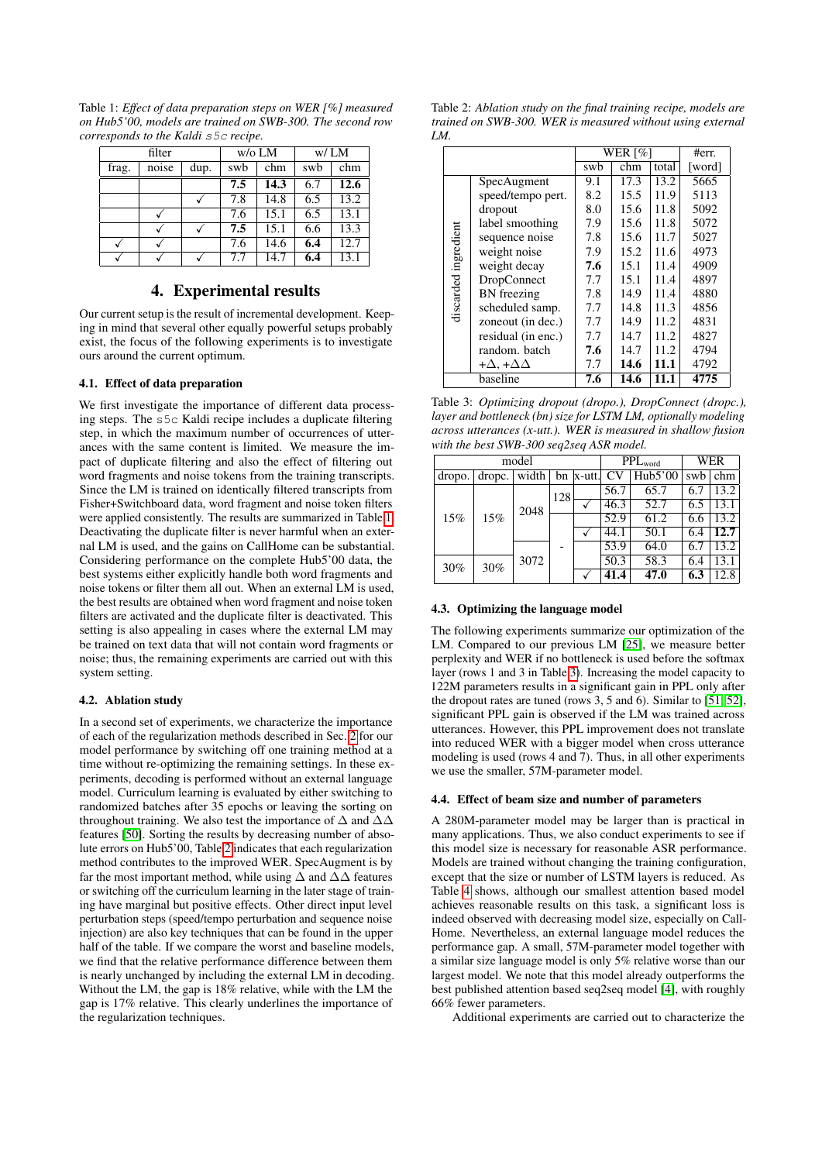<span id="page-2-0"></span>Table 1: *Effect of data preparation steps on WER [%] measured on Hub5'00, models are trained on SWB-300. The second row corresponds to the Kaldi* s5c *recipe.*

|       | filter |      |     | $w$ /o LM | W/LM |      |  |
|-------|--------|------|-----|-----------|------|------|--|
| frag. | noise  | dup. | swb | chm       | swb  | chm  |  |
|       |        |      | 7.5 | 14.3      | 6.7  | 12.6 |  |
|       |        |      | 7.8 | 14.8      | 6.5  | 13.2 |  |
|       |        |      | 7.6 | 15.1      | 6.5  | 13.1 |  |
|       |        |      | 7.5 | 15.1      | 6.6  | 13.3 |  |
| √     |        |      | 7.6 | 14.6      | 6.4  | 12.7 |  |
|       |        |      | 7.7 | 14.7      | 6.4  | 13.1 |  |

## 4. Experimental results

Our current setup is the result of incremental development. Keeping in mind that several other equally powerful setups probably exist, the focus of the following experiments is to investigate ours around the current optimum.

# 4.1. Effect of data preparation

We first investigate the importance of different data processing steps. The s5c Kaldi recipe includes a duplicate filtering step, in which the maximum number of occurrences of utterances with the same content is limited. We measure the impact of duplicate filtering and also the effect of filtering out word fragments and noise tokens from the training transcripts. Since the LM is trained on identically filtered transcripts from Fisher+Switchboard data, word fragment and noise token filters were applied consistently. The results are summarized in Table [1.](#page-2-0) Deactivating the duplicate filter is never harmful when an external LM is used, and the gains on CallHome can be substantial. Considering performance on the complete Hub5'00 data, the best systems either explicitly handle both word fragments and noise tokens or filter them all out. When an external LM is used, the best results are obtained when word fragment and noise token filters are activated and the duplicate filter is deactivated. This setting is also appealing in cases where the external LM may be trained on text data that will not contain word fragments or noise; thus, the remaining experiments are carried out with this system setting.

#### 4.2. Ablation study

In a second set of experiments, we characterize the importance of each of the regularization methods described in Sec. [2](#page-0-0) for our model performance by switching off one training method at a time without re-optimizing the remaining settings. In these experiments, decoding is performed without an external language model. Curriculum learning is evaluated by either switching to randomized batches after 35 epochs or leaving the sorting on throughout training. We also test the importance of  $\Delta$  and  $\Delta\Delta$ features [\[50\]](#page-4-47). Sorting the results by decreasing number of absolute errors on Hub5'00, Table [2](#page-2-1) indicates that each regularization method contributes to the improved WER. SpecAugment is by far the most important method, while using  $\Delta$  and  $\Delta\Delta$  features or switching off the curriculum learning in the later stage of training have marginal but positive effects. Other direct input level perturbation steps (speed/tempo perturbation and sequence noise injection) are also key techniques that can be found in the upper half of the table. If we compare the worst and baseline models, we find that the relative performance difference between them is nearly unchanged by including the external LM in decoding. Without the LM, the gap is 18% relative, while with the LM the gap is 17% relative. This clearly underlines the importance of the regularization techniques.

<span id="page-2-1"></span>Table 2: *Ablation study on the final training recipe, models are trained on SWB-300. WER is measured without using external LM.*

|                      |                               | WER $\lceil \% \rceil$ | #err. |       |        |
|----------------------|-------------------------------|------------------------|-------|-------|--------|
|                      |                               |                        | chm   | total | [word] |
|                      | SpecAugment                   | 9.1                    | 17.3  | 13.2  | 5665   |
|                      | speed/tempo pert.             | 8.2                    | 15.5  | 11.9  | 5113   |
|                      | dropout                       | 8.0                    | 15.6  | 11.8  | 5092   |
|                      | label smoothing               | 7.9                    | 15.6  | 11.8  | 5072   |
|                      | sequence noise                | 7.8                    | 15.6  | 11.7  | 5027   |
| discarded ingredient | weight noise                  | 7.9                    | 15.2  | 11.6  | 4973   |
|                      | weight decay                  | 7.6                    | 15.1  | 11.4  | 4909   |
|                      | <b>DropConnect</b>            | 7.7                    | 15.1  | 11.4  | 4897   |
|                      | <b>BN</b> freezing            | 7.8                    | 14.9  | 11.4  | 4880   |
|                      | scheduled samp.               | 7.7                    | 14.8  | 11.3  | 4856   |
|                      | zoneout (in dec.)             | 7.7                    | 14.9  | 11.2  | 4831   |
|                      | residual (in enc.)            | 7.7                    | 14.7  | 11.2  | 4827   |
|                      | random. batch                 | 7.6                    | 14.7  | 11.2. | 4794   |
|                      | + $\Delta$ , + $\Delta\Delta$ | 7.7                    | 14.6  | 11.1  | 4792   |
| baseline             |                               | 7.6                    | 14.6  | 11.1  | 4775   |

<span id="page-2-2"></span>Table 3: *Optimizing dropout (dropo.), DropConnect (dropc.), layer and bottleneck (bn) size for LSTM LM, optionally modeling across utterances (x-utt.). WER is measured in shallow fusion with the best SWB-300 seq2seq ASR model.*

|        |        | model        |     | $PPL_{word}$ | WER               |         |     |      |
|--------|--------|--------------|-----|--------------|-------------------|---------|-----|------|
| dropo. | dropc. | width        |     | $bn$  x-utt. | <b>CV</b>         | Hub5'00 | swb | chm  |
| 15%    | 15%    | 2048<br>3072 | 128 |              | 56.7              | 65.7    | 6.7 | 13.2 |
|        |        |              |     |              | 46.3              | 52.7    | 6.5 | 13.1 |
|        |        |              |     |              | 52.9              | 61.2    | 6.6 | 13.2 |
|        |        |              |     |              | 44.1              | 50.1    | 6.4 | 12.7 |
|        |        |              |     |              | 53.9              | 64.0    | 6.7 | 13.2 |
| 30%    | 30%    |              |     |              | $\overline{50.3}$ | 58.3    | 6.4 | 13.1 |
|        |        |              |     |              | 41.4              | 47.0    | 6.3 | 12.8 |

#### 4.3. Optimizing the language model

The following experiments summarize our optimization of the LM. Compared to our previous LM [\[25\]](#page-4-22), we measure better perplexity and WER if no bottleneck is used before the softmax layer (rows 1 and 3 in Table [3\)](#page-2-2). Increasing the model capacity to 122M parameters results in a significant gain in PPL only after the dropout rates are tuned (rows 3, 5 and 6). Similar to [\[51,](#page-4-48) [52\]](#page-4-49), significant PPL gain is observed if the LM was trained across utterances. However, this PPL improvement does not translate into reduced WER with a bigger model when cross utterance modeling is used (rows 4 and 7). Thus, in all other experiments we use the smaller, 57M-parameter model.

#### 4.4. Effect of beam size and number of parameters

A 280M-parameter model may be larger than is practical in many applications. Thus, we also conduct experiments to see if this model size is necessary for reasonable ASR performance. Models are trained without changing the training configuration, except that the size or number of LSTM layers is reduced. As Table [4](#page-3-2) shows, although our smallest attention based model achieves reasonable results on this task, a significant loss is indeed observed with decreasing model size, especially on Call-Home. Nevertheless, an external language model reduces the performance gap. A small, 57M-parameter model together with a similar size language model is only 5% relative worse than our largest model. We note that this model already outperforms the best published attention based seq2seq model [\[4\]](#page-4-1), with roughly 66% fewer parameters.

Additional experiments are carried out to characterize the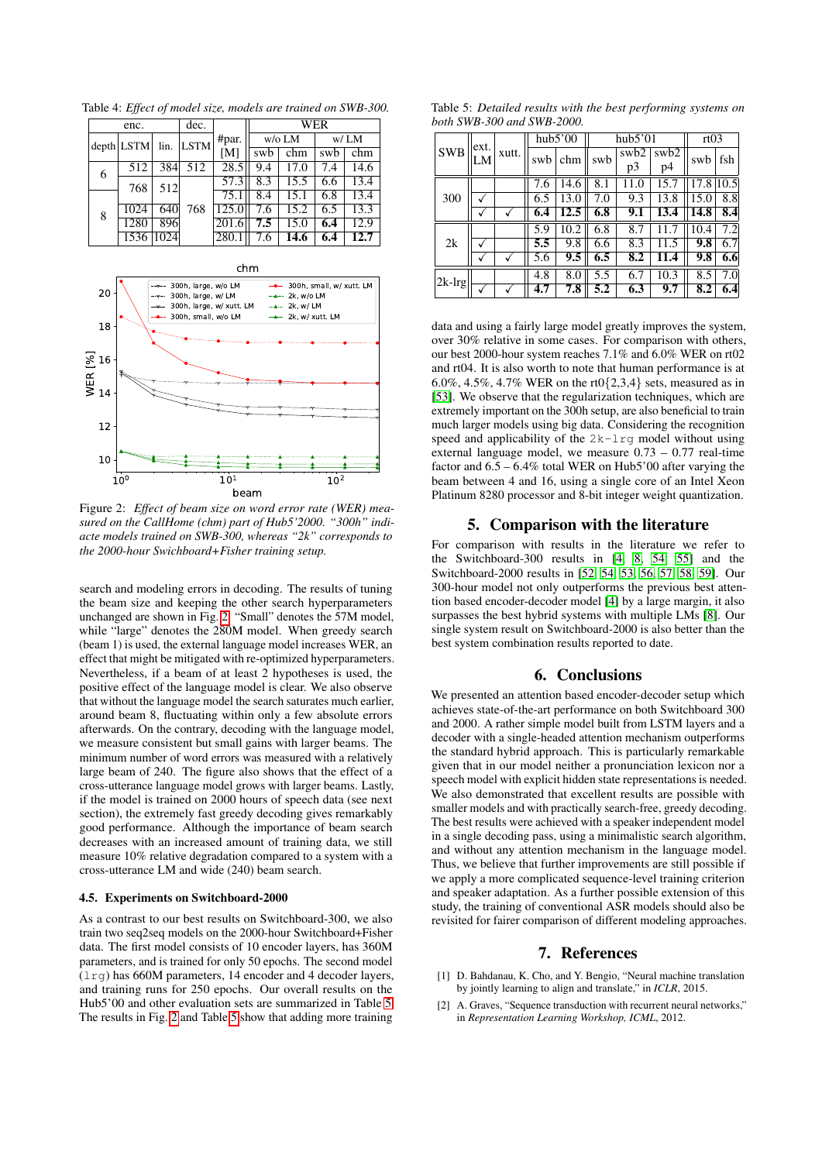<span id="page-3-2"></span>Table 4: *Effect of model size, models are trained on SWB-300.*

| enc. |              |      | dec.        |       | <b>WER</b>       |      |      |      |  |
|------|--------------|------|-------------|-------|------------------|------|------|------|--|
|      | $depth$ LSTM | lin. | <b>LSTM</b> | #par. | $w$ /o LM        |      | w/LM |      |  |
|      |              |      |             | [M]   | swb              | chm  | swb  | chm  |  |
| 6    | 512          | 384  | 512         | 28.5  | 9.4              | 17.0 | 7.4  | 14.6 |  |
|      | 768          | 512  |             | 57.3  | $\overline{8.3}$ | 15.5 | 6.6  | 13.4 |  |
|      |              |      |             | 75.1  | 8.4              | 15.1 | 6.8  | 13.4 |  |
| 8    | 1024         | 640  | 768         | 125.0 | 7.6              | 15.2 | 6.5  | 13.3 |  |
|      | 1280         | 896  |             | 201.6 | 7.5              | 15.0 | 6.4  | 12.9 |  |
|      | 1536         | 1024 |             | 280.  | 7.6              | 14.6 | 6.4  | 12.7 |  |

<span id="page-3-3"></span>

Figure 2: *Effect of beam size on word error rate (WER) measured on the CallHome (chm) part of Hub5'2000. "300h" indiacte models trained on SWB-300, whereas "2k" corresponds to the 2000-hour Swichboard+Fisher training setup.*

search and modeling errors in decoding. The results of tuning the beam size and keeping the other search hyperparameters unchanged are shown in Fig. [2.](#page-3-3) "Small" denotes the 57M model. while "large" denotes the 280M model. When greedy search (beam 1) is used, the external language model increases WER, an effect that might be mitigated with re-optimized hyperparameters. Nevertheless, if a beam of at least 2 hypotheses is used, the positive effect of the language model is clear. We also observe that without the language model the search saturates much earlier, around beam 8, fluctuating within only a few absolute errors afterwards. On the contrary, decoding with the language model, we measure consistent but small gains with larger beams. The minimum number of word errors was measured with a relatively large beam of 240. The figure also shows that the effect of a cross-utterance language model grows with larger beams. Lastly, if the model is trained on 2000 hours of speech data (see next section), the extremely fast greedy decoding gives remarkably good performance. Although the importance of beam search decreases with an increased amount of training data, we still measure 10% relative degradation compared to a system with a cross-utterance LM and wide (240) beam search.

## 4.5. Experiments on Switchboard-2000

As a contrast to our best results on Switchboard-300, we also train two seq2seq models on the 2000-hour Switchboard+Fisher data. The first model consists of 10 encoder layers, has 360M parameters, and is trained for only 50 epochs. The second model  $(1 \text{rg})$  has 660M parameters, 14 encoder and 4 decoder layers, and training runs for 250 epochs. Our overall results on the Hub5'00 and other evaluation sets are summarized in Table [5.](#page-3-4) The results in Fig. [2](#page-3-3) and Table [5](#page-3-4) show that adding more training

<span id="page-3-4"></span>Table 5: *Detailed results with the best performing systems on both SWB-300 and SWB-2000.*

| <b>SWB</b> | ext. | xutt. | hub5'00 |      |     | hub5'01                | rt03                   |      |      |
|------------|------|-------|---------|------|-----|------------------------|------------------------|------|------|
|            | LM   |       | swb     | chm  | swb | swb <sub>2</sub><br>p3 | swb <sub>2</sub><br>p4 | swb  | fsh  |
|            |      |       | 7.6     | 14.6 | 8.1 | 11.0                   | 15.7                   | 17.8 | 10.5 |
| 300        |      |       | 6.5     | 13.0 | 7.0 | 9.3                    | 13.8                   | 15.0 | 8.8  |
|            |      |       | 6.4     | 12.5 | 6.8 | 9.1                    | 13.4                   | 14.8 | 8.4  |
| 2k         |      |       | 5.9     | 10.2 | 6.8 | 8.7                    |                        | 10.4 | 7.2  |
|            |      |       | 5.5     | 9.8  | 6.6 | 8.3                    | 11.5                   | 9.8  | 6.7  |
|            |      |       | 5.6     | 9.5  | 6.5 | 8.2                    | 11.4                   | 9.8  | 6.6  |
| $ 2k-lrg $ |      |       | 4.8     | 8.0  | 5.5 | 6.7                    | 10.3                   | 8.5  | 7.0  |
|            |      |       | 4.7     | 7.8  | 5.2 | 6.3                    | 9.7                    | 8.2  | 6.4  |

data and using a fairly large model greatly improves the system, over 30% relative in some cases. For comparison with others, our best 2000-hour system reaches 7.1% and 6.0% WER on rt02 and rt04. It is also worth to note that human performance is at 6.0%, 4.5%, 4.7% WER on the rt0{2,3,4} sets, measured as in [\[53\]](#page-4-50). We observe that the regularization techniques, which are extremely important on the 300h setup, are also beneficial to train much larger models using big data. Considering the recognition speed and applicability of the 2k-lrg model without using external language model, we measure 0.73 – 0.77 real-time factor and  $6.5 - 6.4\%$  total WER on Hub5'00 after varying the beam between 4 and 16, using a single core of an Intel Xeon Platinum 8280 processor and 8-bit integer weight quantization.

# 5. Comparison with the literature

For comparison with results in the literature we refer to the Switchboard-300 results in [\[4,](#page-4-1) [8,](#page-4-5) [54,](#page-4-51) [55\]](#page-4-52) and the Switchboard-2000 results in [\[52,](#page-4-49) [54,](#page-4-51) [53,](#page-4-50) [56,](#page-4-53) [57,](#page-4-54) [58,](#page-4-55) [59\]](#page-4-56). Our 300-hour model not only outperforms the previous best attention based encoder-decoder model [\[4\]](#page-4-1) by a large margin, it also surpasses the best hybrid systems with multiple LMs [\[8\]](#page-4-5). Our single system result on Switchboard-2000 is also better than the best system combination results reported to date.

# 6. Conclusions

We presented an attention based encoder-decoder setup which achieves state-of-the-art performance on both Switchboard 300 and 2000. A rather simple model built from LSTM layers and a decoder with a single-headed attention mechanism outperforms the standard hybrid approach. This is particularly remarkable given that in our model neither a pronunciation lexicon nor a speech model with explicit hidden state representations is needed. We also demonstrated that excellent results are possible with smaller models and with practically search-free, greedy decoding. The best results were achieved with a speaker independent model in a single decoding pass, using a minimalistic search algorithm, and without any attention mechanism in the language model. Thus, we believe that further improvements are still possible if we apply a more complicated sequence-level training criterion and speaker adaptation. As a further possible extension of this study, the training of conventional ASR models should also be revisited for fairer comparison of different modeling approaches.

#### 7. References

- <span id="page-3-0"></span>[1] D. Bahdanau, K. Cho, and Y. Bengio, "Neural machine translation by jointly learning to align and translate," in *ICLR*, 2015.
- <span id="page-3-1"></span>[2] A. Graves, "Sequence transduction with recurrent neural networks," in *Representation Learning Workshop, ICML*, 2012.